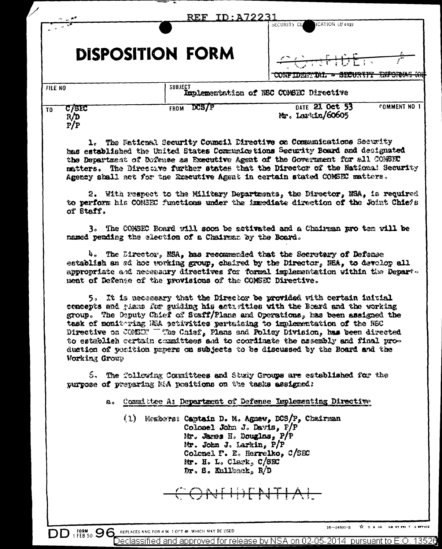|                |                     | ID: A72231<br>$\mathbf{REF}$                                                                                         | ICATION (If any)<br>SECURITY CL                                                                                                                                                                                                                                                                                                                                                                                                                                                                                                                                    |
|----------------|---------------------|----------------------------------------------------------------------------------------------------------------------|--------------------------------------------------------------------------------------------------------------------------------------------------------------------------------------------------------------------------------------------------------------------------------------------------------------------------------------------------------------------------------------------------------------------------------------------------------------------------------------------------------------------------------------------------------------------|
|                |                     | <b>DISPOSITION FORM</b>                                                                                              | <del>CONFIDEN</del><br>CONFIDENTIAL - SECURITY INFOR                                                                                                                                                                                                                                                                                                                                                                                                                                                                                                               |
| <b>FILE NO</b> |                     | <b>SUBJECT</b>                                                                                                       | Implementation of NSC COMSEC Directive                                                                                                                                                                                                                                                                                                                                                                                                                                                                                                                             |
| T <sub>0</sub> | C/81C<br>R/D<br>P/P | <b>DCS/P</b><br><b>FROM</b>                                                                                          | DATE 21 Oct 53<br><b>COMMENT NO 1</b><br>Mr. Larkin/60605                                                                                                                                                                                                                                                                                                                                                                                                                                                                                                          |
|                |                     |                                                                                                                      | Agency shall not for the Executive Agent in certain stated COMSEC matters.                                                                                                                                                                                                                                                                                                                                                                                                                                                                                         |
|                | of Staff.           | named pending the election of a Chairman by the Board.<br>ment of Defense of the provisions of the COMSEC Directive. | 2. With respect to the Military Departments, the Director, NSA, is required<br>to perform his COMSEC functions under the immediate direction of the Joint Chiefs<br>3. The COMSEC Board will soon be activated and a Chairman pro tem will be<br>$h_c$ The Director, NSA, has recommended that the Secretary of Defense<br>establish an ad hoc working group, chaired by the Director, NSA, to develop all<br>appropriate and necessary directives for formal implementation within the Depart-                                                                    |
|                | Working Group       |                                                                                                                      | 5. It is necessary that the Director be provided with certain initial<br>concepts and gians for guiding his activities with the Board and the working<br>group. The Deputy Chief of Staff/Plans and Operations, has been assigned the<br>task of monitoring RRA printities pertaining to implementation of the NSC<br>Directive on COMED? "The Chief, Plans and Policy Division, has been directed<br>to establish certain committees and to coordinate the assembly and final pro-<br>duction of position papers on subjects to be discussed by the Board and the |

(1) Members: Captain D. M. Agnew, DCS/P, Chairman Colonel John J. Davis,  $P/P$ <br>Mr. James H. Douglas,  $P/P$ Mr. John J. Larkin, P/P Colonel F. E. Herrelko, C/SEC Mr. H. L. Clark, C/SEC Dr. S. Kullkack, R/D

ONTHENTIAL

REPLACES NME FOR 4.96-1 OCT 48. WHICH MAY BE USED

**DD** 1 FEB 50 96

TO B GO INHINTIPAL T. G. OFFICE  $16 - 54801 - 3$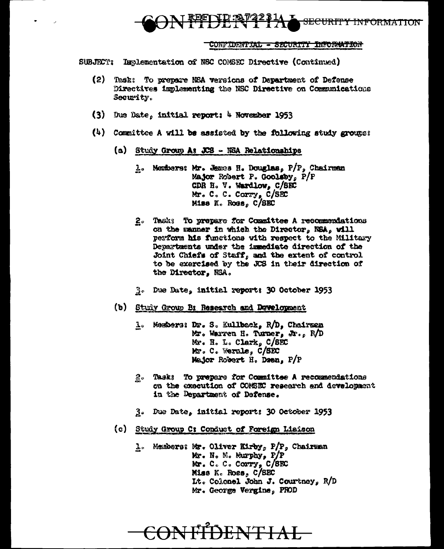

## CONFIDENTIAL - SECURITY INFORMATION

SUBJECT: Inslementation of NSC COMSEC Directive (Continued)

- (2) Task: To prepare NSA versions of Department of Defense Directives implementing the NSC Directive on Communications Security.
- (3) Due Date, initial report: 4 November 1953
- (4) Committee A will be assisted by the following study groups:
	- (a) Study Group A: JCS NSA Relationships
		- 1. Members: Mr. James H. Douglas, P/P, Chairman Major Robert P. Goolsby, P/P CDR H. V. Wardlow, C/SEC Mr. C. C. Corry, C/SEC Miss K. Ross. C/SEC
		- 2. Tasks To prepare for Committee A recommendations on the manner in which the Director, NSA, will perform his functions with respect to the Military Departments under the immediate direction of the Joint Chiefs of Staff, and the extent of control to be exercised by the JCS in their direction of the Director. NSA.
		- 3. Due Date, initial reports 30 October 1953
	- (b) Study Group B: Research and Davelopment
		- 1. Members: Dr. S. Kullback, R/D, Chairman Mr. Warren H. Turner, Jr., R/D Mr. H. L. Clark, C/SEC Mr. C. Wernle, C/SEC Major Robert H. Deen, P/P
		- 2. Task: To prepare for Committee A recommendations on the execution of COMSEC research and development in the Department of Defense.
		- 3. Due Date, initial report: 30 October 1953
	- (c) Study Group C: Conduct of Foreign Liaison
		- 1. Members: Mr. Oliver Kirby, P/P, Chairman Mr. N. M. Murphy, P/P Mr. C. C. Corry, C/SEC Miss K. Ross, C/SEC It. Colonel John J. Courtney, R/D Mr. George Vergine, PROD

<del>CONFIDENTIAL</del>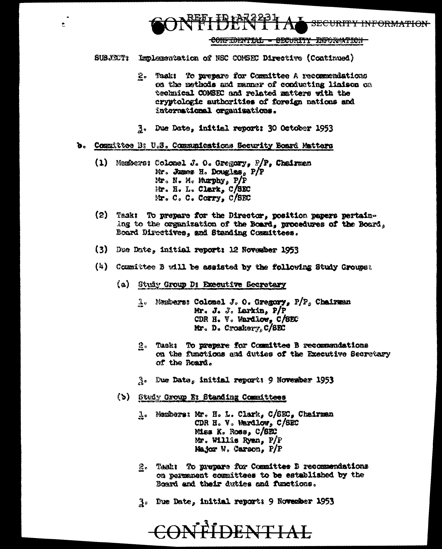CONFIDENTIAL - SECURITY ENFORMATION

SUBJECT: Implementation of NSC CONSEC Directive (Continued)

REFT IR 12722

 $\bullet$ 

- $2<sub>o</sub>$ Task: To prepare for Committee A recommendations on the methods and manner of conducting linison on technical COMSEC and related matters with the cryptologic authorities of foreign nations and international organizations.
- 3. Due Date, initial report: 30 October 1953
- b. Committee B: U.S. Communications Security Board Matters
	- (1) Members: Colonel J. O. Gregory,  $P/P$ , Chairman Mr. Jumes H. Douglas, P/P Mr. N. M. Murphy, P/P Mr. H. L. Clark, C/SEC Mr. C. C. Corry, C/SEC
	- (2) Task: To prepare for the Director, position papers pertaining to the organization of the Board, procedures of the Board, Board Directives, and Standing Committees.
	- (3) Due Date, initial report: 12 November 1953
	- (4) Committee B will be assisted by the following Study Groups:
		- (a) Study Group D: Executive Secretary
			- 1. Members: Colonel J. O. Gregory, P/P. Chairman Mr. J. J. Larkin,  $P/P$ CDR H. V. Wardlow, C/SEC Mr. D. Croskery,  $C/SET$
			- 2. Task: To prepare for Committee B recommendations on the functions and duties of the Executive Secretary of the Board.
			- $3.5$  One Date, initial reports 9 November 1953
		- (b) Study Group E: Standing Committees
			- 1. Members: Mr. H. L. Clark, C/SEC, Chairman CDR H. V. Wardlow, C/SEC Miss K. Ross, C/SEC Mr. Willis Ryan, P/P Major W. Carson, P/P
			- 2. Task: To prepare for Committee B recommendations on permanent committees to be established by the Board and their duties and functions.
			- 3. Due Date, initial reports 9 November 1953

CONFIDENTIAL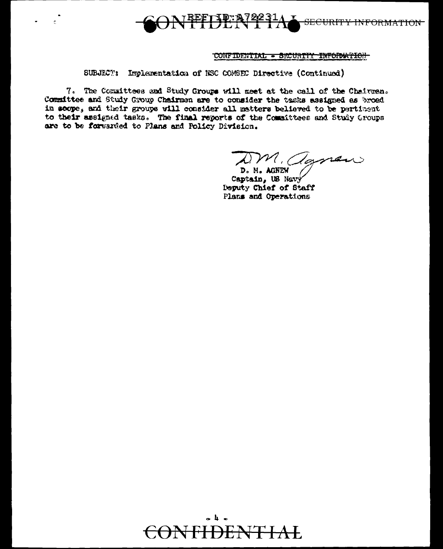**TEETHER72231/** SECURITY INFORMATION

## CONFIDENTIAL - SECURITY INFORMATION

SUBJECT: Implementation of NSC COMSEC Directive (Continued)

7. The Conmittees and Study Groups will meet at the call of the Chairman. Committee and Study Group Chairmon are to consider the tasks assigned as broad in scope, and their groups will consider all matters believed to be pertinent to their assigned tasks. The final reports of the Committees and Study Groups are to be forwarded to Plans and Policy Division.

DM. agnew D. N. AGNEW

Captain, US Nevy Deputy Chief of Staff Plans and Operations